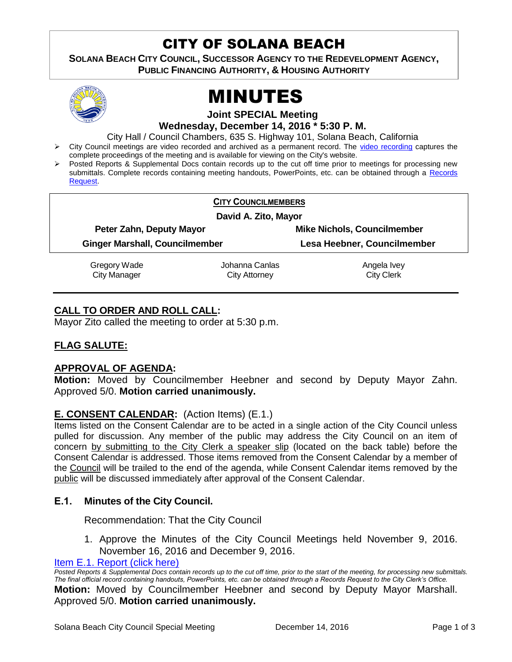# CITY OF SOLANA BEACH

**SOLANA BEACH CITY COUNCIL, SUCCESSOR AGENCY TO THE REDEVELOPMENT AGENCY, PUBLIC FINANCING AUTHORITY, & HOUSING AUTHORITY** 



# MINUTES

**Joint SPECIAL Meeting**

**Wednesday, December 14, 2016 \* 5:30 P. M.**

City Hall / Council Chambers, 635 S. Highway 101, Solana Beach, California

- > City Council meetings are video recorded and archived as a permanent record. The [video recording](https://solanabeach.12milesout.com/video/meeting/22528092-d273-4c68-93e8-0f81d322fd8d) captures the complete proceedings of the meeting and is available for viewing on the City's website.
- Posted Reports & Supplemental Docs contain records up to the cut off time prior to meetings for processing new submittals. Complete records containing meeting handouts, PowerPoints, etc. can be obtained through a Records [Request.](http://www.ci.solana-beach.ca.us/index.asp?SEC=F5D45D10-70CE-4291-A27C-7BD633FC6742&Type=B_BASIC)

|                                       | <b>CITY COUNCILMEMBERS</b> |                                    |
|---------------------------------------|----------------------------|------------------------------------|
| David A. Zito, Mayor                  |                            |                                    |
| Peter Zahn, Deputy Mayor              |                            | <b>Mike Nichols, Councilmember</b> |
| <b>Ginger Marshall, Councilmember</b> |                            | Lesa Heebner, Councilmember        |
| Gregory Wade                          | Johanna Canlas             | Angela Ivey                        |
| <b>City Manager</b>                   | City Attorney              | <b>City Clerk</b>                  |

# **CALL TO ORDER AND ROLL CALL:**

Mayor Zito called the meeting to order at 5:30 p.m.

# **FLAG SALUTE:**

#### **APPROVAL OF AGENDA:**

**Motion:** Moved by Councilmember Heebner and second by Deputy Mayor Zahn. Approved 5/0. **Motion carried unanimously.**

#### **E. CONSENT CALENDAR:** (Action Items) (E.1.)

Items listed on the Consent Calendar are to be acted in a single action of the City Council unless pulled for discussion. Any member of the public may address the City Council on an item of concern by submitting to the City Clerk a speaker slip (located on the back table) before the Consent Calendar is addressed. Those items removed from the Consent Calendar by a member of the Council will be trailed to the end of the agenda, while Consent Calendar items removed by the public will be discussed immediately after approval of the Consent Calendar.

# **E.1. Minutes of the City Council.**

Recommendation: That the City Council

1. Approve the Minutes of the City Council Meetings held November 9, 2016. November 16, 2016 and December 9, 2016.

#### [Item E.1. Report \(click here\)](https://solanabeach.govoffice3.com/vertical/Sites/%7B840804C2-F869-4904-9AE3-720581350CE7%7D/uploads/Item_E.1._Report_(click_here)_-_12-14-16_-_updated_12-13-16.pdf)

*Posted Reports & Supplemental Docs contain records up to the cut off time, prior to the start of the meeting, for processing new submittals. The final official record containing handouts, PowerPoints, etc. can be obtained through a Records Request to the City Clerk's Office.* **Motion:** Moved by Councilmember Heebner and second by Deputy Mayor Marshall. Approved 5/0. **Motion carried unanimously.**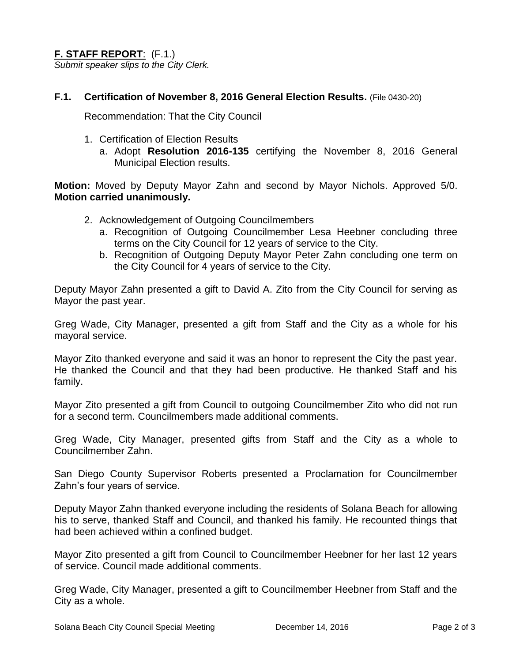**F. STAFF REPORT**: (F.1.) *Submit speaker slips to the City Clerk.*

#### **F.1. Certification of November 8, 2016 General Election Results.** (File 0430-20)

Recommendation: That the City Council

- 1. Certification of Election Results
	- a. Adopt **Resolution 2016-135** certifying the November 8, 2016 General Municipal Election results.

**Motion:** Moved by Deputy Mayor Zahn and second by Mayor Nichols. Approved 5/0. **Motion carried unanimously.**

- 2. Acknowledgement of Outgoing Councilmembers
	- a. Recognition of Outgoing Councilmember Lesa Heebner concluding three terms on the City Council for 12 years of service to the City.
	- b. Recognition of Outgoing Deputy Mayor Peter Zahn concluding one term on the City Council for 4 years of service to the City.

Deputy Mayor Zahn presented a gift to David A. Zito from the City Council for serving as Mayor the past year.

Greg Wade, City Manager, presented a gift from Staff and the City as a whole for his mayoral service.

Mayor Zito thanked everyone and said it was an honor to represent the City the past year. He thanked the Council and that they had been productive. He thanked Staff and his family.

Mayor Zito presented a gift from Council to outgoing Councilmember Zito who did not run for a second term. Councilmembers made additional comments.

Greg Wade, City Manager, presented gifts from Staff and the City as a whole to Councilmember Zahn.

San Diego County Supervisor Roberts presented a Proclamation for Councilmember Zahn's four years of service.

Deputy Mayor Zahn thanked everyone including the residents of Solana Beach for allowing his to serve, thanked Staff and Council, and thanked his family. He recounted things that had been achieved within a confined budget.

Mayor Zito presented a gift from Council to Councilmember Heebner for her last 12 years of service. Council made additional comments.

Greg Wade, City Manager, presented a gift to Councilmember Heebner from Staff and the City as a whole.